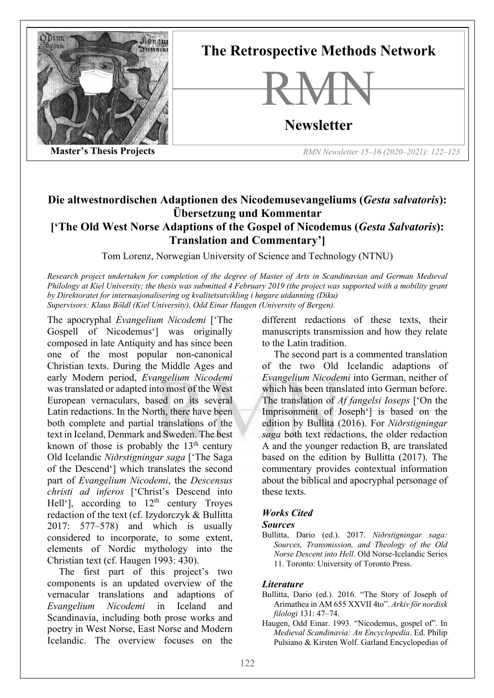

**The Retrospective Methods Network**



**Newsletter**

**Master's Thesis Projects** *RMN Newsletter 15–16 (2020–2021): 122–123*

## **Die altwestnordischen Adaptionen des Nicodemusevangeliums (***Gesta salvatoris***): Übersetzung und Kommentar ['The Old West Norse Adaptions of the Gospel of Nicodemus (***Gesta Salvatoris***): Translation and Commentary']**

Tom Lorenz, Norwegian University of Science and Technology (NTNU)

*Research project undertaken for completion of the degree of Master of Arts in Scandinavian and German Medieval Philology at Kiel University; the thesis was submitted 4 February 2019 (the project was supported with a mobility grant by Direktoratet for internasjonalisering og kvalitetsutvikling i høgare utdanning (Diku) Supervisors: Klaus Böldl (Kiel University), Odd Einar Haugen (University of Bergen).*

The apocryphal *Evangelium Nicodemi* ['The Gospell of Nicodemus'] was originally composed in late Antiquity and has since been one of the most popular non-canonical Christian texts. During the Middle Ages and early Modern period, *Evangelium Nicodemi* was translated or adapted into most of the West European vernaculars, based on its several Latin redactions. In the North, there have been both complete and partial translations of the text in Iceland, Denmark and Sweden. The best known of those is probably the  $13<sup>th</sup>$  century Old Icelandic *Niðrstigningar saga* ['The Saga of the Descend'] which translates the second part of *Evangelium Nicodemi*, the *Descensus christi ad inferos* ['Christ's Descend into Hell'], according to  $12<sup>th</sup>$  century Troyes redaction of the text (cf. Izydorczyk & Bullitta 2017: 577–578) and which is usually considered to incorporate, to some extent, elements of Nordic mythology into the Christian text (cf. Haugen 1993: 430).

The first part of this project's two components is an updated overview of the vernacular translations and adaptions of *Evangelium Nicodemi* in Iceland and Scandinavia, including both prose works and poetry in West Norse, East Norse and Modern Icelandic. The overview focuses on the

different redactions of these texts, their manuscripts transmission and how they relate to the Latin tradition.

The second part is a commented translation of the two Old Icelandic adaptions of *Evangelium Nicodemi* into German, neither of which has been translated into German before. The translation of *Af fangelsi Ioseps* ['On the Imprisonment of Joseph'] is based on the edition by Bullita (2016). For *Niðrstigningar saga* both text redactions, the older redaction A and the younger redaction B, are translated based on the edition by Bullitta (2017). The commentary provides contextual information about the biblical and apocryphal personage of these texts.

## *Works Cited*

## *Sources*

Bullitta, Dario (ed.). 2017. *Niðrstigningar saga: Sources, Transmission, and Theology of the Old Norse Descent into Hell*. Old Norse-Icelandic Series 11. Toronto: University of Toronto Press.

## *Literature*

- Bullitta, Dario (ed.). 2016. "The Story of Joseph of Arimathea in AM 655 XXVII 4to". *Arkiv för nordisk filologi* 131: 47–74.
- Haugen, Odd Einar. 1993. "Nicodemus, gospel of". In *Medieval Scandinavia: An Encyclopedia*. Ed. Philip Pulsiano & Kirsten Wolf. Garland Encyclopedias of